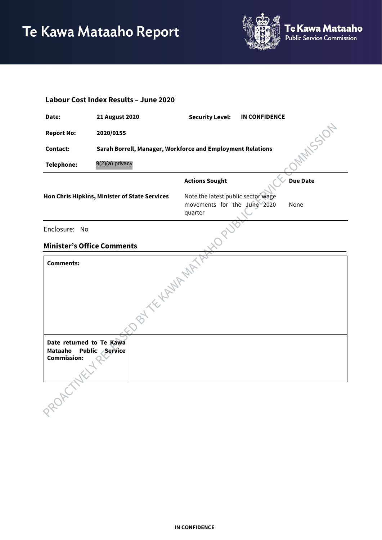

| Labour Cost Index Results - June 2020                                      |                                                            |                                                                              |                      |                 |  |  |  |
|----------------------------------------------------------------------------|------------------------------------------------------------|------------------------------------------------------------------------------|----------------------|-----------------|--|--|--|
| Date:                                                                      | <b>21 August 2020</b>                                      | <b>Security Level:</b>                                                       | <b>IN CONFIDENCE</b> |                 |  |  |  |
| <b>Report No:</b>                                                          | 2020/0155                                                  |                                                                              |                      | <b>MANSSION</b> |  |  |  |
| Contact:                                                                   | Sarah Borrell, Manager, Workforce and Employment Relations |                                                                              |                      |                 |  |  |  |
| Telephone:                                                                 | 9(2)(a) privacy                                            |                                                                              |                      |                 |  |  |  |
|                                                                            |                                                            | <b>Actions Sought</b>                                                        |                      | <b>Due Date</b> |  |  |  |
|                                                                            | Hon Chris Hipkins, Minister of State Services              | Note the latest public sector wage<br>movements for the June 2020<br>quarter |                      | None            |  |  |  |
| Enclosure: No                                                              |                                                            |                                                                              |                      |                 |  |  |  |
| <b>Minister's Office Comments</b>                                          |                                                            |                                                                              |                      |                 |  |  |  |
| <b>Comments:</b>                                                           |                                                            |                                                                              |                      |                 |  |  |  |
|                                                                            |                                                            |                                                                              |                      |                 |  |  |  |
|                                                                            | BY THAT AM                                                 |                                                                              |                      |                 |  |  |  |
| Date returned to Te Kawa<br>Mataaho<br><b>Public</b><br><b>Commission:</b> | <b>Service</b>                                             |                                                                              |                      |                 |  |  |  |
|                                                                            |                                                            |                                                                              |                      |                 |  |  |  |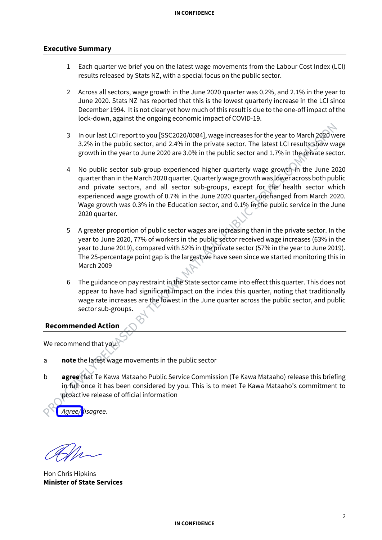### **Executive Summary**

- 1 Each quarter we brief you on the latest wage movements from the Labour Cost Index (LCI) results released by Stats NZ, with a special focus on the public sector.
- 2 Across all sectors, wage growth in the June 2020 quarter was 0.2%, and 2.1% in the year to June 2020. Stats NZ has reported that this is the lowest quarterly increase in the LCI since December 1994. It is not clear yet how much of this result is due to the one-off impact of the lock-down, against the ongoing economic impact of COVID-19.
- 3 In our last LCI report to you [SSC2020/0084], wage increases for the year to March 2020 were 3.2% in the public sector, and 2.4% in the private sector. The latest LCI results show wage growth in the year to June 2020 are 3.0% in the public sector and 1.7% in the private sector.
- 4 No public sector sub-group experienced higher quarterly wage growth in the June 2020 quarter than in the March 2020 quarter. Quarterly wage growth was lower across both public and private sectors, and all sector sub-groups, except for the health sector which experienced wage growth of 0.7% in the June 2020 quarter, unchanged from March 2020. Wage growth was 0.3% in the Education sector, and 0.1% in the public service in the June 2020 quarter.
- 5 A greater proportion of public sector wages are increasing than in the private sector. In the year to June 2020, 77% of workers in the public sector received wage increases (63% in the year to June 2019), compared with 52% in the private sector (57% in the year to June 2019). The 25-percentage point gap is the largest we have seen since we started monitoring this in March 2009
- 6 The guidance on pay restraint in the State sector came into effect this quarter. This does not appear to have had significant impact on the index this quarter, noting that traditionally wage rate increases are the lowest in the June quarter across the public sector, and public sector sub-groups.

# **Recommended Action**

We recommend that you:

- a **note** the latest wage movements in the public sector
- b **agree** that Te Kawa Mataaho Public Service Commission (Te Kawa Mataaho) release this briefing in full once it has been considered by you. This is to meet Te Kawa Mataaho's commitment to proactive release of official information

*Agree/disagree.*

Hon Chris Hipkins **Minister of State Services**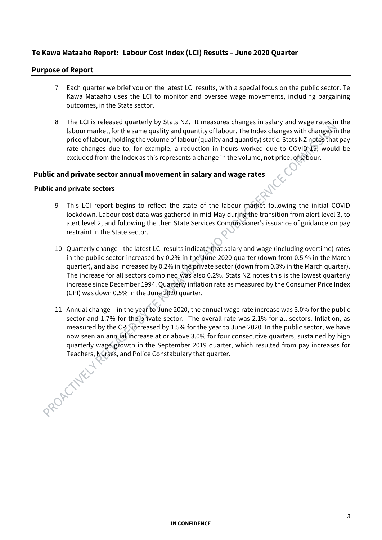# **Te Kawa Mataaho Report: Labour Cost Index (LCI) Results – June 2020 Quarter**

## **Purpose of Report**

- 7 Each quarter we brief you on the latest LCI results, with a special focus on the public sector. Te Kawa Mataaho uses the LCI to monitor and oversee wage movements, including bargaining outcomes, in the State sector.
- 8 The LCI is released quarterly by Stats NZ. It measures changes in salary and wage rates in the labour market, for the same quality and quantity of labour. The Index changes with changes in the price of labour, holding the volume of labour (quality and quantity) static. Stats NZ notes that pay rate changes due to, for example, a reduction in hours worked due to COVID-19, would be excluded from the Index as this represents a change in the volume, not price, of labour.

# **Public and private sector annual movement in salary and wage rates**

### **Public and private sectors**

- 9 This LCI report begins to reflect the state of the labour market following the initial COVID lockdown. Labour cost data was gathered in mid-May during the transition from alert level 3, to alert level 2, and following the then State Services Commissioner's issuance of guidance on pay restraint in the State sector.
- 10 Quarterly change the latest LCI results indicate that salary and wage (including overtime) rates in the public sector increased by 0.2% in the June 2020 quarter (down from 0.5 % in the March quarter), and also increased by 0.2% in the private sector (down from 0.3% in the March quarter). The increase for all sectors combined was also 0.2%. Stats NZ notes this is the lowest quarterly increase since December 1994. Quarterly inflation rate as measured by the Consumer Price Index (CPI) was down 0.5% in the June 2020 quarter.
- 11 Annual change in the year to June 2020, the annual wage rate increase was 3.0% for the public sector and 1.7% for the private sector. The overall rate was 2.1% for all sectors. Inflation, as measured by the CPI, increased by 1.5% for the year to June 2020. In the public sector, we have now seen an annual increase at or above 3.0% for four consecutive quarters, sustained by high quarterly wage growth in the September 2019 quarter, which resulted from pay increases for Teachers, Nurses, and Police Constabulary that quarter.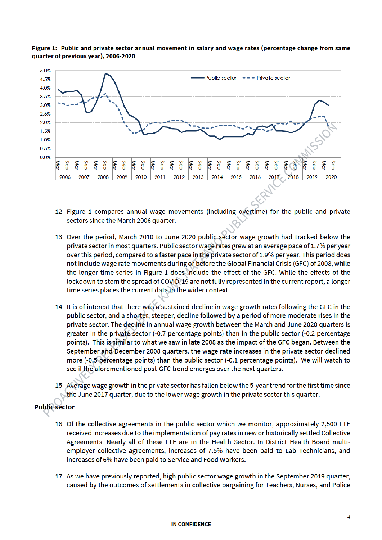

Figure 1: Public and private sector annual movement in salary and wage rates (percentage change from same quarter of previous year), 2006-2020

- 12 Figure 1 compares annual wage movements (including overtime) for the public and private sectors since the March 2006 quarter.
- 13 Over the period, March 2010 to June 2020 public sector wage growth had tracked below the private sector in most quarters. Public sector wage rates grew at an average pace of 1.7% per year over this period, compared to a faster pace in the private sector of 1.9% per year. This period does not include wage rate movements during or before the Global Financial Crisis (GFC) of 2008, while the longer time-series in Figure 1 does include the effect of the GFC. While the effects of the lockdown to stem the spread of COVID-19 are not fully represented in the current report, a longer time series places the current data in the wider context.
- 14 It is of interest that there was a sustained decline in wage growth rates following the GFC in the public sector, and a shorter, steeper, decline followed by a period of more moderate rises in the private sector. The decline in annual wage growth between the March and June 2020 quarters is greater in the private sector (-0.7 percentage points) than in the public sector (-0.2 percentage points). This is similar to what we saw in late 2008 as the impact of the GFC began. Between the September and December 2008 quarters, the wage rate increases in the private sector declined more (-0,5 percentage points) than the public sector (-0.1 percentage points). We will watch to see if the aforementioned post-GFC trend emerges over the next quarters.
- 15 Average wage growth in the private sector has fallen below the 5-year trend for the first time since the June 2017 quarter, due to the lower wage growth in the private sector this quarter.

# **Public** sector

- 16 Of the collective agreements in the public sector which we monitor, approximately 2,500 FTE received increases due to the implementation of pay rates in new or historically settled Collective Agreements. Nearly all of these FTE are in the Health Sector. In District Health Board multiemployer collective agreements, increases of 7.5% have been paid to Lab Technicians, and increases of 6% have been paid to Service and Food Workers.
- 17 As we have previously reported, high public sector wage growth in the September 2019 quarter, caused by the outcomes of settlements in collective bargaining for Teachers, Nurses, and Police

#### **IN CONFIDENCE**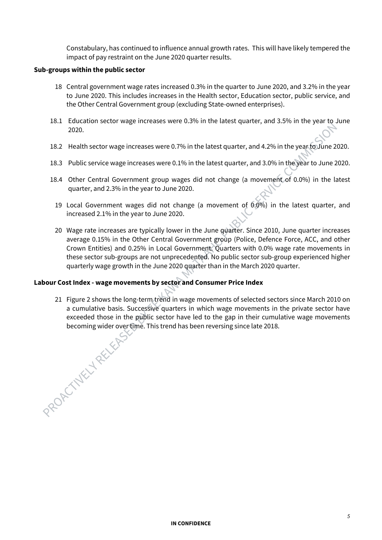Constabulary, has continued to influence annual growth rates. This will have likely tempered the impact of pay restraint on the June 2020 quarter results.

### **Sub-groups within the public sector**

- 18 Central government wage rates increased 0.3% in the quarter to June 2020, and 3.2% in the year to June 2020. This includes increases in the Health sector, Education sector, public service, and the Other Central Government group (excluding State-owned enterprises).
- 18.1 Education sector wage increases were 0.3% in the latest quarter, and 3.5% in the year to June 2020.
- 18.2 Health sector wage increases were 0.7% in the latest quarter, and 4.2% in the year to June 2020.
- 18.3 Public service wage increases were 0.1% in the latest quarter, and 3.0% in the year to June 2020.
- 18.4 Other Central Government group wages did not change (a movement of 0.0%) in the latest quarter, and 2.3% in the year to June 2020.
	- 19 Local Government wages did not change (a movement of  $0.0\%$ ) in the latest quarter, and increased 2.1% in the year to June 2020.
	- 20 Wage rate increases are typically lower in the June quarter. Since 2010, June quarter increases average 0.15% in the Other Central Government group (Police, Defence Force, ACC, and other Crown Entities) and 0.25% in Local Government. Quarters with 0.0% wage rate movements in these sector sub-groups are not unprecedented. No public sector sub-group experienced higher quarterly wage growth in the June 2020 quarter than in the March 2020 quarter.

# **Labour Cost Index - wage movements by sector and Consumer Price Index**

21 Figure 2 shows the long-term trend in wage movements of selected sectors since March 2010 on a cumulative basis. Successive quarters in which wage movements in the private sector have exceeded those in the public sector have led to the gap in their cumulative wage movements becoming wider over time. This trend has been reversing since late 2018.<br>
And the contract of the contract of the contract of the contract of the contract of the contract of the contract of the contract of the contract of

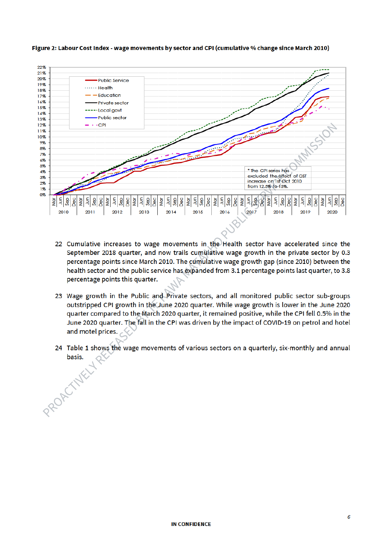

#### Figure 2: Labour Cost Index - wage movements by sector and CPI (cumulative % change since March 2010)

- 22 Cumulative increases to wage movements in the Health sector have accelerated since the September 2018 quarter, and now trails cumulative wage growth in the private sector by 0.3 percentage points since March 2010. The cumulative wage growth gap (since 2010) between the health sector and the public service has expanded from 3.1 percentage points last quarter, to 3.8 percentage points this quarter.
- 23 Wage growth in the Public and Private sectors, and all monitored public sector sub-groups outstripped CPI growth in the June 2020 quarter. While wage growth is lower in the June 2020 quarter compared to the March 2020 quarter, it remained positive, while the CPI fell 0.5% in the June 2020 quarter. The fall in the CPI was driven by the impact of COVID-19 on petrol and hotel and motel prices.
- 24 Table 1 shows the wage movements of various sectors on a quarterly, six-monthly and annual basis. PROPETTAKLY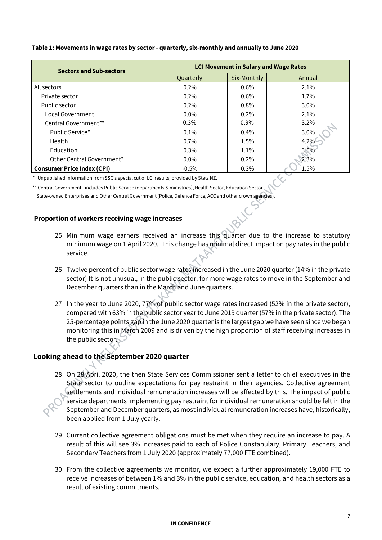#### **Table 1: Movements in wage rates by sector - quarterly, six-monthly and annually to June 2020**

| <b>Sectors and Sub-sectors</b>    | <b>LCI Movement in Salary and Wage Rates</b> |             |         |  |
|-----------------------------------|----------------------------------------------|-------------|---------|--|
|                                   | Quarterly                                    | Six-Monthly | Annual  |  |
| All sectors                       | 0.2%                                         | $0.6\%$     | $2.1\%$ |  |
| Private sector                    | $0.2\%$                                      | $0.6\%$     | 1.7%    |  |
| Public sector                     | 0.2%                                         | 0.8%        | $3.0\%$ |  |
| <b>Local Government</b>           | $0.0\%$                                      | 0.2%        | 2.1%    |  |
| Central Government**              | 0.3%                                         | $0.9\%$     | $3.2\%$ |  |
| Public Service*                   | $0.1\%$                                      | $0.4\%$     | 3.0%    |  |
| Health                            | $0.7\%$                                      | 1.5%        | 4.2%    |  |
| Education                         | 0.3%                                         | 1.1%        | 3.5%    |  |
| Other Central Government*         | $0.0\%$                                      | 0.2%        | 2.3%    |  |
| <b>Consumer Price Index (CPI)</b> | $-0.5\%$                                     | 0.3%        | 1.5%    |  |

\* Unpublished information from SSC's special cut of LCI results, provided by Stats NZ.

\*\* Central Government - includes Public Service (departments & ministries), Health Sector, Education Sector,

State-owned Enterprises and Other Central Government (Police, Defence Force, ACC and other crown agencies).

## **Proportion of workers receiving wage increases**

- 25 Minimum wage earners received an increase this quarter due to the increase to statutory minimum wage on 1 April 2020. This change has minimal direct impact on pay rates in the public service.
- 26 Twelve percent of public sector wage rates increased in the June 2020 quarter (14% in the private sector) It is not unusual, in the public sector, for more wage rates to move in the September and December quarters than in the March and June quarters.
- 27 In the year to June 2020, 77% of public sector wage rates increased (52% in the private sector), compared with 63% in the public sector year to June 2019 quarter (57% in the private sector). The 25-percentage points gap in the June 2020 quarter is the largest gap we have seen since we began monitoring this in March 2009 and is driven by the high proportion of staff receiving increases in the public sector.

# **Looking ahead to the September 2020 quarter**

- 28 On 28 April 2020, the then State Services Commissioner sent a letter to chief executives in the State sector to outline expectations for pay restraint in their agencies. Collective agreement settlements and individual remuneration increases will be affected by this. The impact of public service departments implementing pay restraint for individual remuneration should be felt in the September and December quarters, as most individual remuneration increases have, historically, been applied from 1 July yearly.
- 29 Current collective agreement obligations must be met when they require an increase to pay. A result of this will see 3% increases paid to each of Police Constabulary, Primary Teachers, and Secondary Teachers from 1 July 2020 (approximately 77,000 FTE combined).
- 30 From the collective agreements we monitor, we expect a further approximately 19,000 FTE to receive increases of between 1% and 3% in the public service, education, and health sectors as a result of existing commitments.

#### **IN CONFIDENCE**